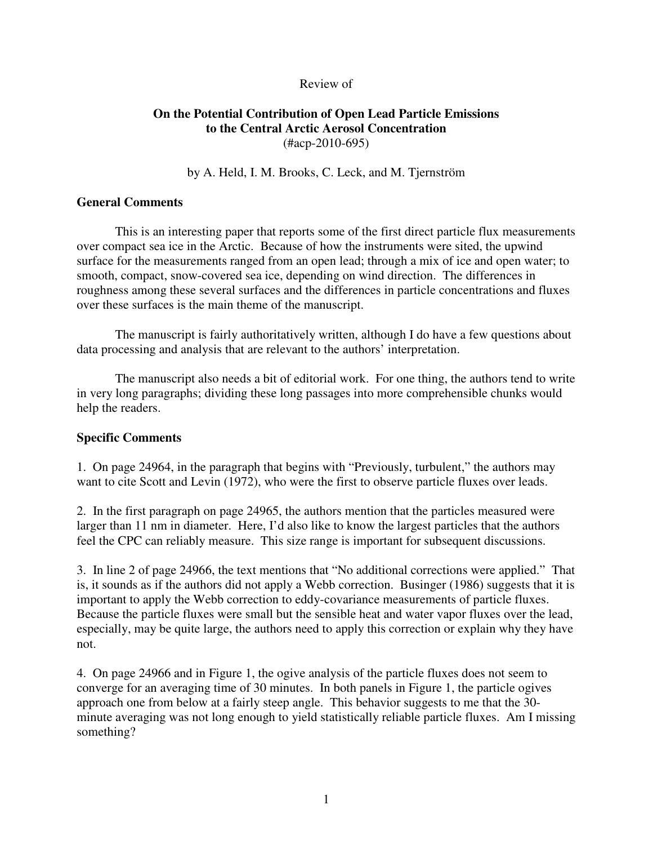## Review of

# **On the Potential Contribution of Open Lead Particle Emissions to the Central Arctic Aerosol Concentration**  (#acp-2010-695)

by A. Held, I. M. Brooks, C. Leck, and M. Tjernström

## **General Comments**

 This is an interesting paper that reports some of the first direct particle flux measurements over compact sea ice in the Arctic. Because of how the instruments were sited, the upwind surface for the measurements ranged from an open lead; through a mix of ice and open water; to smooth, compact, snow-covered sea ice, depending on wind direction. The differences in roughness among these several surfaces and the differences in particle concentrations and fluxes over these surfaces is the main theme of the manuscript.

 The manuscript is fairly authoritatively written, although I do have a few questions about data processing and analysis that are relevant to the authors' interpretation.

 The manuscript also needs a bit of editorial work. For one thing, the authors tend to write in very long paragraphs; dividing these long passages into more comprehensible chunks would help the readers.

## **Specific Comments**

1. On page 24964, in the paragraph that begins with "Previously, turbulent," the authors may want to cite Scott and Levin (1972), who were the first to observe particle fluxes over leads.

2. In the first paragraph on page 24965, the authors mention that the particles measured were larger than 11 nm in diameter. Here, I'd also like to know the largest particles that the authors feel the CPC can reliably measure. This size range is important for subsequent discussions.

3. In line 2 of page 24966, the text mentions that "No additional corrections were applied." That is, it sounds as if the authors did not apply a Webb correction. Businger (1986) suggests that it is important to apply the Webb correction to eddy-covariance measurements of particle fluxes. Because the particle fluxes were small but the sensible heat and water vapor fluxes over the lead, especially, may be quite large, the authors need to apply this correction or explain why they have not.

4. On page 24966 and in Figure 1, the ogive analysis of the particle fluxes does not seem to converge for an averaging time of 30 minutes. In both panels in Figure 1, the particle ogives approach one from below at a fairly steep angle. This behavior suggests to me that the 30 minute averaging was not long enough to yield statistically reliable particle fluxes. Am I missing something?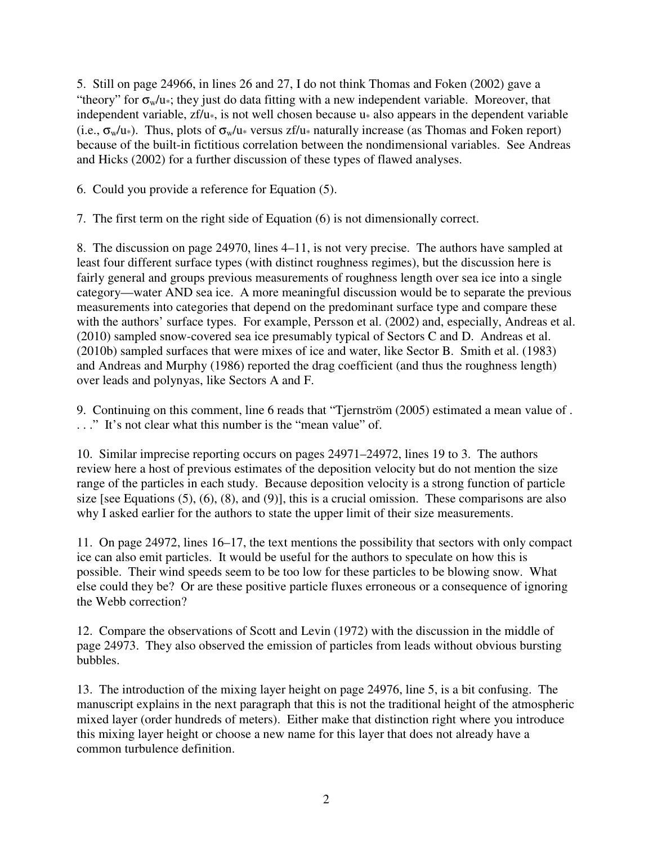5. Still on page 24966, in lines 26 and 27, I do not think Thomas and Foken (2002) gave a "theory" for  $\sigma_w/u$ , they just do data fitting with a new independent variable. Moreover, that independent variable,  $zf/u$ <sub>\*</sub>, is not well chosen because  $u$ <sup>\*</sup> also appears in the dependent variable (i.e.,  $\sigma_w/u_*$ ). Thus, plots of  $\sigma_w/u_*$  versus zf/u<sub>\*</sub> naturally increase (as Thomas and Foken report) because of the built-in fictitious correlation between the nondimensional variables. See Andreas and Hicks (2002) for a further discussion of these types of flawed analyses.

6. Could you provide a reference for Equation (5).

7. The first term on the right side of Equation (6) is not dimensionally correct.

8. The discussion on page 24970, lines 4–11, is not very precise. The authors have sampled at least four different surface types (with distinct roughness regimes), but the discussion here is fairly general and groups previous measurements of roughness length over sea ice into a single category—water AND sea ice. A more meaningful discussion would be to separate the previous measurements into categories that depend on the predominant surface type and compare these with the authors' surface types. For example, Persson et al. (2002) and, especially, Andreas et al. (2010) sampled snow-covered sea ice presumably typical of Sectors C and D. Andreas et al. (2010b) sampled surfaces that were mixes of ice and water, like Sector B. Smith et al. (1983) and Andreas and Murphy (1986) reported the drag coefficient (and thus the roughness length) over leads and polynyas, like Sectors A and F.

9. Continuing on this comment, line 6 reads that "Tjernström (2005) estimated a mean value of . . . ." It's not clear what this number is the "mean value" of.

10. Similar imprecise reporting occurs on pages 24971–24972, lines 19 to 3. The authors review here a host of previous estimates of the deposition velocity but do not mention the size range of the particles in each study. Because deposition velocity is a strong function of particle size [see Equations (5), (6), (8), and (9)], this is a crucial omission. These comparisons are also why I asked earlier for the authors to state the upper limit of their size measurements.

11. On page 24972, lines 16–17, the text mentions the possibility that sectors with only compact ice can also emit particles. It would be useful for the authors to speculate on how this is possible. Their wind speeds seem to be too low for these particles to be blowing snow. What else could they be? Or are these positive particle fluxes erroneous or a consequence of ignoring the Webb correction?

12. Compare the observations of Scott and Levin (1972) with the discussion in the middle of page 24973. They also observed the emission of particles from leads without obvious bursting bubbles.

13. The introduction of the mixing layer height on page 24976, line 5, is a bit confusing. The manuscript explains in the next paragraph that this is not the traditional height of the atmospheric mixed layer (order hundreds of meters). Either make that distinction right where you introduce this mixing layer height or choose a new name for this layer that does not already have a common turbulence definition.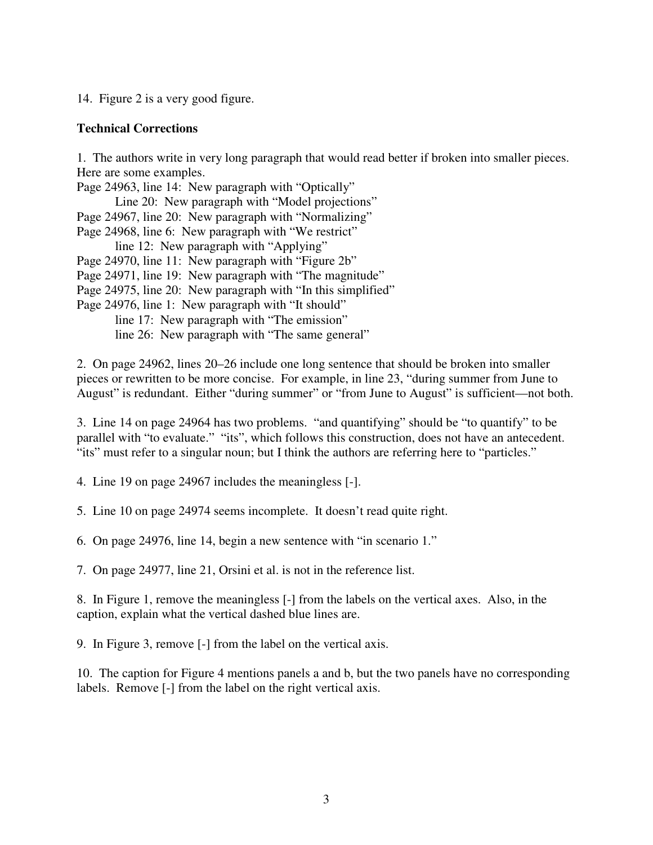14. Figure 2 is a very good figure.

## **Technical Corrections**

1. The authors write in very long paragraph that would read better if broken into smaller pieces. Here are some examples.

Page 24963, line 14: New paragraph with "Optically"

Line 20: New paragraph with "Model projections"

- Page 24967, line 20: New paragraph with "Normalizing"
- Page 24968, line 6: New paragraph with "We restrict"
	- line 12: New paragraph with "Applying"
- Page 24970, line 11: New paragraph with "Figure 2b"

Page 24971, line 19: New paragraph with "The magnitude"

- Page 24975, line 20: New paragraph with "In this simplified"
- Page 24976, line 1: New paragraph with "It should"
	- line 17: New paragraph with "The emission"

line 26: New paragraph with "The same general"

2. On page 24962, lines 20–26 include one long sentence that should be broken into smaller pieces or rewritten to be more concise. For example, in line 23, "during summer from June to August" is redundant. Either "during summer" or "from June to August" is sufficient—not both.

3. Line 14 on page 24964 has two problems. "and quantifying" should be "to quantify" to be parallel with "to evaluate." "its", which follows this construction, does not have an antecedent. "its" must refer to a singular noun; but I think the authors are referring here to "particles."

4. Line 19 on page 24967 includes the meaningless [-].

5. Line 10 on page 24974 seems incomplete. It doesn't read quite right.

6. On page 24976, line 14, begin a new sentence with "in scenario 1."

7. On page 24977, line 21, Orsini et al. is not in the reference list.

8. In Figure 1, remove the meaningless [-] from the labels on the vertical axes. Also, in the caption, explain what the vertical dashed blue lines are.

9. In Figure 3, remove [-] from the label on the vertical axis.

10. The caption for Figure 4 mentions panels a and b, but the two panels have no corresponding labels. Remove [-] from the label on the right vertical axis.